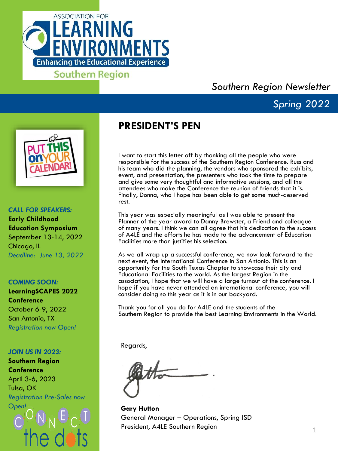

### *Spring 2022*



#### *CALL FOR SPEAKERS:*

**Early Childhood Education Symposium** September 13-14, 2022 Chicago, IL *Deadline: June 13, 2022*

#### *COMING SOON:*

**LearningSCAPES 2022 Conference** October 6-9, 2022 San Antonio, TX *Registration now Open!*

#### *JOIN US IN 2023:*

**Southern Region Conference** April 3-6, 2023 Tulsa, OK *Registration Pre-Sales now Open!*



### **PRESIDENT'S PEN**

I want to start this letter off by thanking all the people who were responsible for the success of the Southern Region Conference. Russ and his team who did the planning, the vendors who sponsored the exhibits, event, and presentation, the presenters who took the time to prepare and give some very thoughtful and informative sessions, and all the attendees who make the Conference the reunion of friends that it is. Finally, Donna, who I hope has been able to get some much-deserved rest.

This year was especially meaningful as I was able to present the Planner of the year award to Danny Brewster, a Friend and colleague of many years. I think we can all agree that his dedication to the success of A4LE and the efforts he has made to the advancement of Education Facilities more than justifies his selection.

As we all wrap up a successful conference, we now look forward to the next event, the International Conference in San Antonio. This is an opportunity for the South Texas Chapter to showcase their city and Educational Facilities to the world. As the largest Region in the association, I hope that we will have a large turnout at the conference. I hope if you have never attended an international conference, you will consider doing so this year as it is in our backyard.

Thank you for all you do for A4LE and the students of the Southern Region to provide the best Learning Environments in the World.

Regards,

**Gary Hutton** General Manager – Operations, Spring ISD President, A4LE Southern Region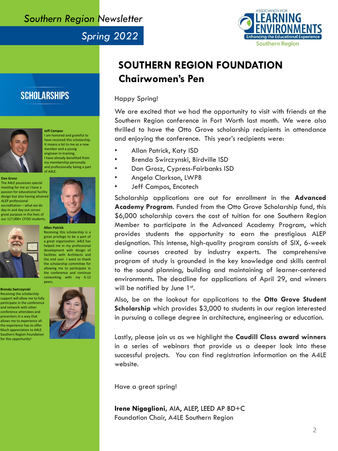

*Spring 2022* 

### **SCHOLARSHIPS**



I am honored and grateful to have received this scholarship. It means a lot to me as a new

**Jeff Campos**

member and a young engineer-in-training. I have already benefited from my membership personally and professionally being a part of A4LE.

**Dan Grosz**

The A4LE possesses special meeting for me as I have a passion for educational facility design but also having attained ALEP professional accreditation – what we do day-in and day-out serves



**Allan Patrick** Receiving this scholarship is a great privilege to be a part of a great organization. A4LE has helped me in my professional

development with design of facilities with Architects and the end user. I want to thank the scholarship committee for allowing me to participate in the conference and continue networking with my K-12

**Brenda Swirczynski** Receiving the scholarship support will allow me to fully participate in the conference and network with other conference attendees and presenters in a way that allows me to experience all the experience has to offer. Much appreciation to A4LE Southern Region Foundation for this opportunity!



### **Chairwomen's Pen SOUTHERN REGION FOUNDATION**

#### Happy Spring!

We are excited that we had the opportunity to visit with friends at the Southern Region conference in Fort Worth last month. We were also thrilled to have the Otto Grove scholarship recipients in attendance and enjoying the conference. This year's recipients were:

- Allan Patrick, Katy ISD
- Brenda Swirczynski, Birdville ISD
- Dan Grosz, Cypress-Fairbanks ISD
- Angela Clarkson, LWPB
- Jeff Campos, Encotech

Scholarship applications are out for enrollment in the **Advanced Academy Program**. Funded from the Otto Grove Scholarship fund, this \$6,000 scholarship covers the cost of tuition for one Southern Region Member to participate in the Advanced Academy Program, which provides students the opportunity to earn the prestigious ALEP designation. This intense, high-quality program consists of SIX, 6-week online courses created by industry experts. The comprehensive program of study is grounded in the key knowledge and skills central to the sound planning, building and maintaining of learner-centered environments. The deadline for applications of April 29, and winners will be notified by June 1st.

Also, be on the lookout for applications to the **Otto Grove Student Scholarship** which provides \$3,000 to students in our region interested in pursuing a college degree in architecture, engineering or education.

Lastly, please join us as we highlight the **Caudill Class award winners** in a series of webinars that provide us a deeper look into these successful projects. You can find registration information on the A4LE website.

Have a great spring!

**Irene Nigaglioni,** AIA, ALEP, LEED AP BD+C Foundation Chair, A4LE Southern Region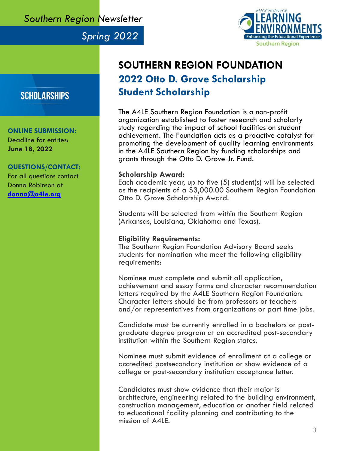*Spring 2022* 



### **SCHOLARSHIPS**

#### **ONLINE SUBMISSION:**

Deadline for entries: **June 18, 2022**

#### **QUESTIONS/CONTACT:**

For all questions contact Donna Robinson at **[donna@a4le.org](mailto:donna@a4le.org)**

## **SOUTHERN REGION FOUNDATION**

### **2022 Otto D. Grove Scholarship Student Scholarship**

The A4LE Southern Region Foundation is a non-profit organization established to foster research and scholarly study regarding the impact of school facilities on student achievement. The Foundation acts as a proactive catalyst for promoting the development of quality learning environments in the A4LE Southern Region by funding scholarships and grants through the Otto D. Grove Jr. Fund.

#### **Scholarship Award:**

Each academic year, up to five (5) student(s) will be selected as the recipients of a \$3,000.00 Southern Region Foundation Otto D. Grove Scholarship Award.

Students will be selected from within the Southern Region (Arkansas, Louisiana, Oklahoma and Texas).

#### **Eligibility Requirements:**

The Southern Region Foundation Advisory Board seeks students for nomination who meet the following eligibility requirements:

Nominee must complete and submit all application, achievement and essay forms and character recommendation letters required by the A4LE Southern Region Foundation. Character letters should be from professors or teachers and/or representatives from organizations or part time jobs.

Candidate must be currently enrolled in a bachelors or postgraduate degree program at an accredited post-secondary institution within the Southern Region states.

Nominee must submit evidence of enrollment at a college or accredited postsecondary institution or show evidence of a college or post-secondary institution acceptance letter.

Candidates must show evidence that their major is architecture, engineering related to the building environment, construction management, education or another field related to educational facility planning and contributing to the mission of A4LE.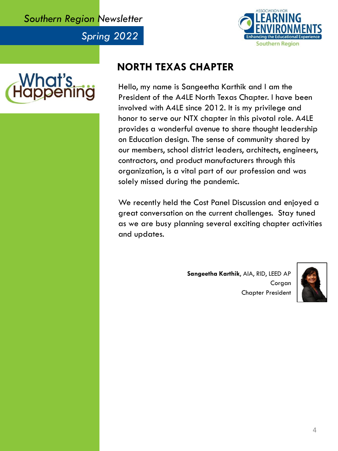

*Spring 2022* 



### **NORTH TEXAS CHAPTER**

Hello, my name is Sangeetha Karthik and I am the President of the A4LE North Texas Chapter. I have been involved with A4LE since 2012. It is my privilege and honor to serve our NTX chapter in this pivotal role. A4LE provides a wonderful avenue to share thought leadership on Education design. The sense of community shared by our members, school district leaders, architects, engineers, contractors, and product manufacturers through this organization, is a vital part of our profession and was solely missed during the pandemic.

We recently held the Cost Panel Discussion and enjoyed a great conversation on the current challenges. Stay tuned as we are busy planning several exciting chapter activities and updates.

> **Sangeetha Karthik**, AIA, RID, LEED AP Corgan Chapter President

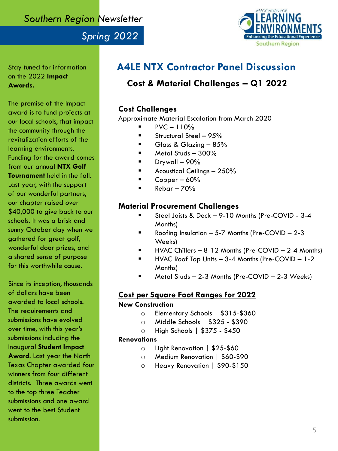



on the 2022 **Impact Awards.** 

The premise of the Impact award is to fund projects at our local schools, that impact the community through the revitalization efforts of the learning environments. Funding for the award comes from our annual **NTX Golf Tournament** held in the fall. Last year, with the support of our wonderful partners, our chapter raised over \$40,000 to give back to our schools. It was a brisk and sunny October day when we gathered for great golf, wonderful door prizes, and a shared sense of purpose for this worthwhile cause.

Since its inception, thousands of dollars have been awarded to local schools. The requirements and submissions have evolved over time, with this year's submissions including the Inaugural **Student Impact Award**. Last year the North Texas Chapter awarded four winners from four different districts. Three awards went to the top three Teacher submissions and one award went to the best Student submission.

### Stay tuned for information **A4LE NTX Contractor Panel Discussion**

### **Cost & Material Challenges – Q1 2022**

#### **Cost Challenges**

Approximate Material Escalation from March 2020

- $PVC 110%$
- **Structural Steel 95%**
- Glass & Glazing  $-85%$
- Metal Studs 300%
- Drywall 90%
- Acoustical Ceilings 250%
- Copper  $60%$
- $Rebar 70%$

#### **Material Procurement Challenges**

- Steel Joists & Deck 9-10 Months (Pre-COVID 3-4 Months)
- Roofing Insulation 5-7 Months (Pre-COVID 2-3 Weeks)
- HVAC Chillers 8-12 Months (Pre-COVID 2-4 Months)
	- HVAC Roof Top Units  $-3-4$  Months (Pre-COVID  $-1-2$ Months)
- Metal Studs  $-2-3$  Months (Pre-COVID  $-2-3$  Weeks)

#### **Cost per Square Foot Ranges for 2022**

#### **New Construction**

- o Elementary Schools | \$315-\$360
- o Middle Schools | \$325 \$390
- o High Schools | \$375 \$450

#### **Renovations**

- o Light Renovation | \$25-\$60
- o Medium Renovation | \$60-\$90
- o Heavy Renovation | \$90-\$150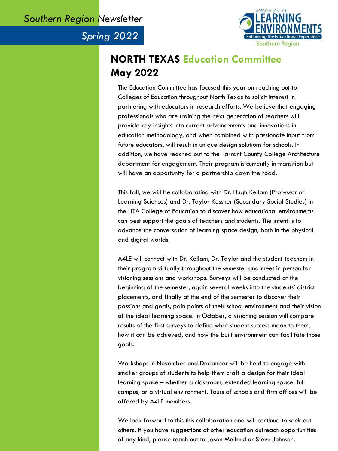*Spring 2022* 



### **NORTH TEXAS Education Committee May 2022**

The Education Committee has focused this year on reaching out to Colleges of Education throughout North Texas to solicit interest in partnering with educators in research efforts. We believe that engaging professionals who are training the next generation of teachers will provide key insights into current advancements and innovations in education methodology, and when combined with passionate input from future educators, will result in unique design solutions for schools. In addition, we have reached out to the Tarrant County College Architecture department for engagement. Their program is currently in transition but will have an opportunity for a partnership down the road.

This fall, we will be collaborating with Dr. Hugh Kellam (Professor of Learning Sciences) and Dr. Taylor Kessner (Secondary Social Studies) in the UTA College of Education to discover how educational environments can best support the goals of teachers and students. The intent is to advance the conversation of learning space design, both in the physical and digital worlds.

A4LE will connect with Dr. Kellam, Dr. Taylor and the student teachers in their program virtually throughout the semester and meet in person for visioning sessions and workshops. Surveys will be conducted at the beginning of the semester, again several weeks into the students' district placements, and finally at the end of the semester to discover their passions and goals, pain points of their school environment and their vision of the ideal learning space. In October, a visioning session will compare results of the first surveys to define what student success mean to them, how it can be achieved, and how the built environment can facilitate those goals.

Workshops in November and December will be held to engage with smaller groups of students to help them craft a design for their ideal learning space – whether a classroom, extended learning space, full campus, or a virtual environment. Tours of schools and firm offices will be offered by A4LE members.

6 others. If you have suggestions of other education outreach opportunities We look forward to this this collaboration and will continue to seek out of any kind, please reach out to Jason Mellard or Steve Johnson.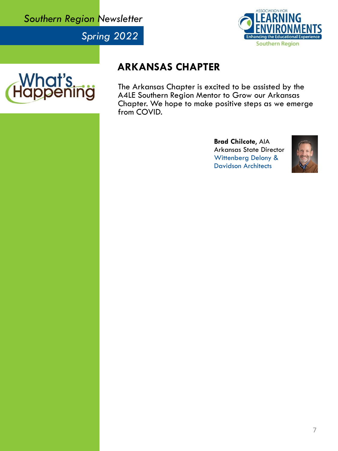

*Spring 2022* 



### **ARKANSAS CHAPTER**

The Arkansas Chapter is excited to be assisted by the A4LE Southern Region Mentor to Grow our Arkansas Chapter. We hope to make positive steps as we emerge from COVID.

> **Brad Chilcote**, AIA Arkansas State Director Wittenberg Delony & Davidson Architects

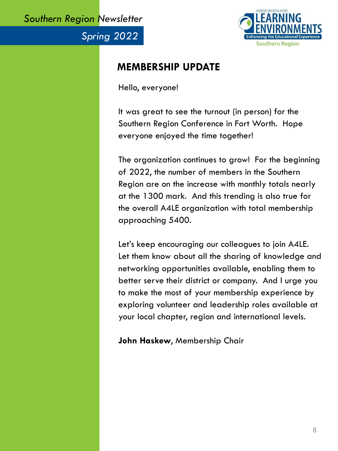

### **MEMBERSHIP UPDATE**

Hello, everyone!

It was great to see the turnout (in person) for the Southern Region Conference in Fort Worth. Hope everyone enjoyed the time together!

The organization continues to grow! For the beginning of 2022, the number of members in the Southern Region are on the increase with monthly totals nearly at the 1300 mark. And this trending is also true for the overall A4LE organization with total membership approaching 5400.

Let's keep encouraging our colleagues to join A4LE. Let them know about all the sharing of knowledge and networking opportunities available, enabling them to better serve their district or company. And I urge you to make the most of your membership experience by exploring volunteer and leadership roles available at your local chapter, region and international levels.

**John Haskew**, Membership Chair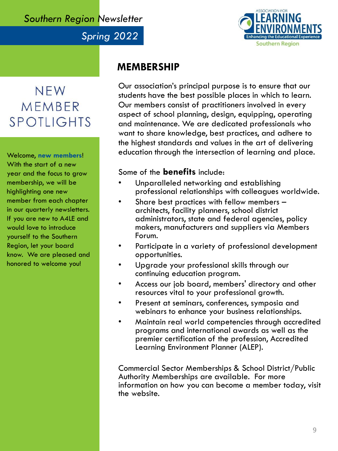

*Spring 2022* 

### **NFW** MEMBER **SPOTLIGHTS**

Welcome, **new members**! With the start of a new year and the focus to grow membership, we will be highlighting one new member from each chapter in our quarterly newsletters. If you are new to A4LE and would love to introduce yourself to the Southern Region, let your board know. We are pleased and honored to welcome you!

### **MEMBERSHIP**

Our association's principal purpose is to ensure that our students have the best possible places in which to learn. Our members consist of practitioners involved in every aspect of school planning, design, equipping, operating and maintenance. We are dedicated professionals who want to share knowledge, best practices, and adhere to the highest standards and values in the art of delivering education through the intersection of learning and place.

### Some of the **benefits** include:

- Unparalleled networking and establishing professional relationships with colleagues worldwide.
- Share best practices with fellow members architects, facility planners, school district administrators, state and federal agencies, policy makers, manufacturers and suppliers via Members Forum.
- Participate in a variety of professional development opportunities.
- Upgrade your professional skills through our continuing education program.
- Access our job board, members' directory and other resources vital to your professional growth.
- Present at seminars, conferences, symposia and webinars to enhance your business relationships.
- Maintain real world competencies through accredited programs and international awards as well as the premier certification of the profession, Accredited Learning Environment Planner (ALEP).

Commercial Sector Memberships & School District/Public Authority Memberships are available. For more information on how you can become a member today, visit the website.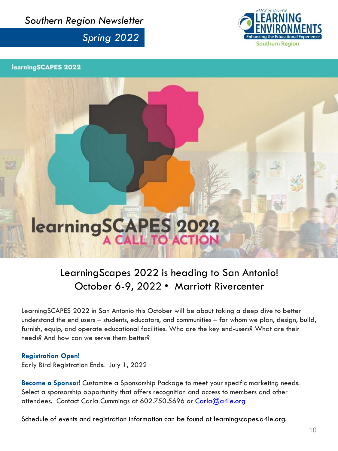*Spring 2022* 



learningSCAPES 2022

# **learningSCAPES 2022**

### LearningScapes 2022 is heading to San Antonio! October 6-9, 2022 • Marriott Rivercenter

LearningSCAPES 2022 in San Antonio this October will be about taking a deep dive to better understand the end users – students, educators, and communities – for whom we plan, design, build, furnish, equip, and operate educational facilities. Who are the key end-users? What are their needs? And how can we serve them better?

#### **Registration Open!**

Early Bird Registration Ends: July 1, 2022

**Become a Sponsor!** Customize a Sponsorship Package to meet your specific marketing needs. Select a sponsorship opportunity that offers recognition and access to members and other attendees. Contact Carla Cummings at 602.750.5696 or [Carla@a4le.org](mailto:Carla@a4le.org)

Schedule of events and registration information can be found at learningscapes.a4le.org.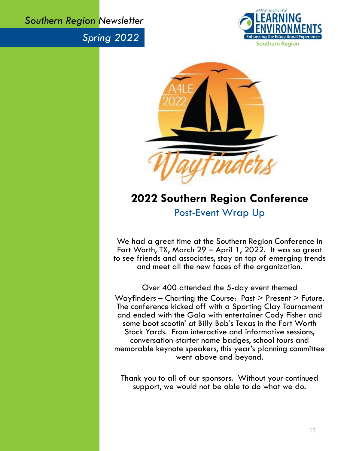

*Spring 2022*



# **2022 Southern Region Conference**

Post-Event Wrap Up

We had a great time at the Southern Region Conference in Fort Worth, TX, March 29 – April 1, 2022. It was so great to see friends and associates, stay on top of emerging trends and meet all the new faces of the organization.

Over 400 attended the 5-day event themed Wayfinders – Charting the Course:  $P$ ast > Present > Future. The conference kicked off with a Sporting Clay Tournament and ended with the Gala with entertainer Cody Fisher and some boot scootin' at Billy Bob's Texas in the Fort Worth Stock Yards. From interactive and informative sessions, conversation-starter name badges, school tours and memorable keynote speakers, this year's planning committee went above and beyond.

Thank you to all of our sponsors. Without your continued support, we would not be able to do what we do.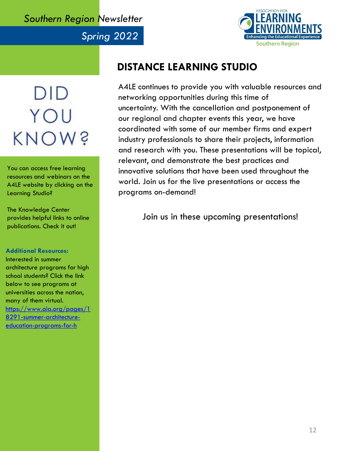*Spring 2022* 



# DID YOU KNOWS

You can access free learning resources and webinars on the A4LE website by clicking on the Learning Studio?

The Knowledge Center provides helpful links to online publications. Check it out!

#### **Additional Resources:**

Interested in summer architecture programs for high school students? Click the link below to see programs at universities across the nation, many of them virtual. [https://www.aia.org/pages/1](https://www.aia.org/pages/18291-summer-architecture-education-programs-for-h) 8291-summer-architectureeducation-programs-for-h

### **DISTANCE LEARNING STUDIO**

A4LE continues to provide you with valuable resources and networking opportunities during this time of uncertainty. With the cancellation and postponement of our regional and chapter events this year, we have coordinated with some of our member firms and expert industry professionals to share their projects, information and research with you. These presentations will be topical, relevant, and demonstrate the best practices and innovative solutions that have been used throughout the world. Join us for the live presentations or access the programs on-demand!

Join us in these upcoming presentations!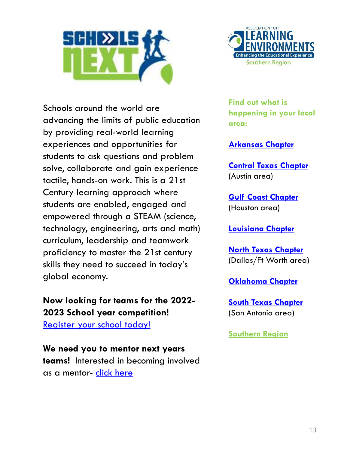

Schools around the world are advancing the limits of public education by providing real-world learning experiences and opportunities for students to ask questions and problem solve, collaborate and gain experience tactile, hands-on work. This is a 21st Century learning approach where students are enabled, engaged and empowered through a STEAM (science, technology, engineering, arts and math) curriculum, leadership and teamwork proficiency to master the 21st century skills they need to succeed in today's global economy.

### **Now looking for teams for the 2022- 2023 School year competition!**

[Register your school today!](https://www.a4le.org/A4LE/Events/Event_Display.aspx?EventKey=SNTEAM19&WebsiteKey=d37387ab-a51a-4aef-8403-8eaa70ea95e2)

**We need you to mentor next years teams!** Interested in becoming involved as a mentor- [click here](https://www.a4le.org/A4LE/Events/Event_Display.aspx?EventKey=MENTOR1920&WebsiteKey=d37387ab-a51a-4aef-8403-8eaa70ea95e2)



**Find out what is happening in your local area:**

#### **[Arkansas Chapter](https://www.a4le.org/A4LE/Regions/Southern/Arkansas/Southern/Arkansas/Arkansas.aspx?hkey=0679e6ed-8f1a-4bec-9ae3-b6dd1ac94499)**

**[Central Texas Chapter](https://www.a4le.org/A4LE/Regions/Southern/Central_Texas/Southern/Central_Texas/Central_Texas.aspx?hkey=508b273c-8575-4d1a-b638-4a995e3ac727)**  (Austin area)

**[Gulf Coast Chapter](https://www.a4le.org/A4LE/Regions/Southern/Gulf_Coast/Southern/Gulf_Coast/Gulf_Coast.aspx?hkey=3fcd6b98-512b-4562-91c4-dd5a6b763194)**  (Houston area)

**[Louisiana Chapter](https://www.a4le.org/A4LE/Regions/Southern/Louisiana/Southern/Louisiana/Louisiana.aspx?hkey=ddb5b0bb-4fb3-495d-82a1-76ecd7c937c6)**

**[North Texas Chapter](https://www.a4le.org/A4LE/Regions/Southern/North_Texas/Southern/North_Texas/North_Texas.aspx?hkey=9dea1afb-e324-4ab3-b527-14fa21c87e78)**  (Dallas/Ft Worth area)

**[Oklahoma Chapter](https://www.a4le.org/A4LE/Regions/Southern/Oklahoma/Southern/Oklahoma/Oklahoma.aspx?hkey=3e0a74b7-0585-42f5-8593-9c33b8e9a4af)**

**[South Texas Chapter](https://www.a4le.org/A4LE/Regions/Southern/South_Texas/Southern/South_Texas/South_Texas.aspx?hkey=66515d1a-5fd7-4dcd-9785-e4454f7df339)**  (San Antonio area)

**[Southern Region](https://www.a4le.org/A4LE/Regions/Southern/Southern/Southern/Southern.aspx?hkey=892edd2f-68d4-4116-b1c2-64d50a63697a)**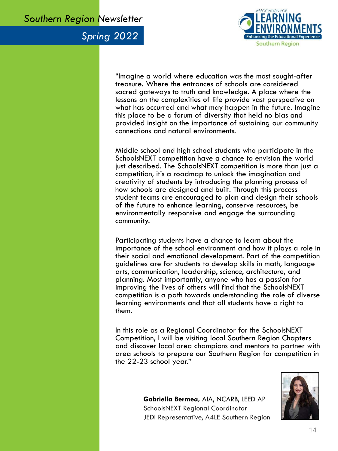*Spring 2022* 



"Imagine a world where education was the most sought-after treasure. Where the entrances of schools are considered sacred gateways to truth and knowledge. A place where the lessons on the complexities of life provide vast perspective on what has occurred and what may happen in the future. Imagine this place to be a forum of diversity that held no bias and provided insight on the importance of sustaining our community connections and natural environments.

Middle school and high school students who participate in the SchoolsNEXT competition have a chance to envision the world just described. The SchoolsNEXT competition is more than just a competition, it's a roadmap to unlock the imagination and creativity of students by introducing the planning process of how schools are designed and built. Through this process student teams are encouraged to plan and design their schools of the future to enhance learning, conserve resources, be environmentally responsive and engage the surrounding community.

Participating students have a chance to learn about the importance of the school environment and how it plays a role in their social and emotional development. Part of the competition guidelines are for students to develop skills in math, language arts, communication, leadership, science, architecture, and planning. Most importantly, anyone who has a passion for improving the lives of others will find that the SchoolsNEXT competition is a path towards understanding the role of diverse learning environments and that all students have a right to them.

In this role as a Regional Coordinator for the SchoolsNEXT Competition, I will be visiting local Southern Region Chapters and discover local area champions and mentors to partner with area schools to prepare our Southern Region for competition in the 22-23 school year."



**Gabriella Bermea,** AIA, NCARB, LEED AP SchoolsNEXT Regional Coordinator JEDI Representative, A4LE Southern Region